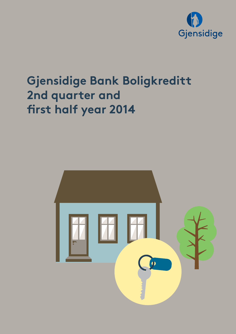

# **Gjensidige Bank Boligkreditt 2nd quarter and first half year 2014**

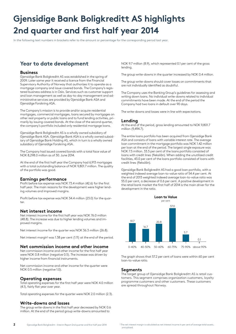# **Gjensidige Bank Boligkreditt AS highlights 2nd quarter and first half year 2014**

In the following text numbers in brackets refer to the amount or percentage for the corresponding period last year.

### **Year to date development**

### **Business**

Gjensidige Bank Boligkreditt AS was established in the spring of 2009. Later same year it received a licence from the Financial Supervisory Authority of Norway that authorizes it to operate as a mortgage company and issue covered bonds. The Company's registered business address is in Oslo. Services such as customer support and loan management as well as day-to-day management and administrative services are provided by Gjensidige Bank ASA and Gjensidige Forsikring ASA.

The Company's mission is to provide and/or acquire residential mortgages, commercial mortgages, loans secured by mortgages on other real property or public loans and to fund lending activities, primarily by issuing covered bonds. At the close of the second quarter, the company's portfolio included only residential mortgage loans.

Gjensidige Bank Boligkreditt AS is a wholly owned subsidiary of Gjensidige Bank ASA. Gjensidige Bank ASA is a wholly owned subsidiary of Gjensidige Bank Holding AS, which in turn is a wholly owned subsidiary of Gjensidige Forsikring ASA.

The Company had issued covered bonds with a total face value of NOK 8,298.0 million as of 30. June 2014.

At the end of the first half year the Company had 6,913 mortgages with a total outstanding balance of NOK 9,801.7 million. The quality of the portfolio was good.

### **Earnings performance**

Profit before tax expense was NOK 73.4 million (42.6) for the first half year. The main reasons for the development were higher lending volumes and improved margins.

Profit before tax expense was NOK 34.4 million (23.0) for the quarter.

#### **Net interest income**

Net interest income for the first half year was NOK 76.0 million (48.8). The increase was due to higher lending volumes and improved margins.

Net interest income for the quarter was NOK 36.3 million (26.8).

Net interest margin<sup>1</sup> was 1.38 per cent (1.11) at the end of the period.

### **Net commission income and other income**

Net commission income and other income for the first half year were NOK 0.8 million (negative 0.5). The increase was driven by higher income from financial instruments.

Net commission income and other income for the quarter were NOK 0.5 million (negative 1.0).

#### **Operating expenses**

Total operating expenses for the first half year were NOK 4.0 million (4.1), fairly flat year over year.

Total operating expenses for the quarter were NOK 2.0 million (2.3).

#### **Write-downs and losses**

The group write-downs in the first half year decreased by NOK 0.6 million. At the end of the period group write-downs amounted to

NOK 9.7 million (8.9), which represented 0.1 per cent of the gross lending.

The group write-downs in the quarter increased by NOK 0.4 million.

The group write-downs should cover losses on commitments that are not individually identified as doubtful.

The Company uses the Banking Group's guidelines for assessing and writing down loans. No individual write-downs related to individual commitments have been made. At the end of the period the Company had two loans in default over 90 days.

The write-downs and losses were in line with expectations.

### **Lending**

At the end of the period, gross lending amounted to NOK 9,801.7 million (9,494.7).

The entire loans portfolio has been acquired from Gjensidige Bank ASA and consists of loans with variable interest rate. The average loan commitment in the mortgage portfolio was NOK 1.42 million per loan at the end of the period. The largest single exposure was NOK 7.5 million. 33.5 per cent of the loans portfolio consisted of loans with credit lines (fleksilån). When adding the unutilized credit facilities, 43.0 per cent of the loans portfolio consisted of loans with credit lines (fleksilån).

Gjensidige Bank Boligkreditt AS had a good loan portfolio, with a weighted indexed average loan-to-value ratio of 54.4 per cent. At the end of 2013 weighted indexed average loan-to-value ratio was 55.0 per cent, a decrease of 0.6 per cent. A positive development in the retail bank market the first half of 2014 is the main driver for the development in the ratio.



The graph shows that 57.2 per cent of loans were within 60 per cent loan-to-value ratio.

#### **Segments**

The target group of Gjensidige Bank Boligkreditt AS is retail customers. This segment comprises organization customers, loyalty programme customers and other customers. These customers are spread throughout Norway.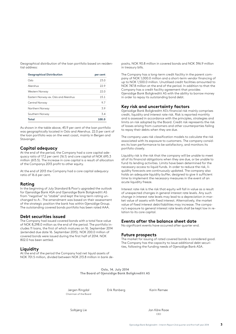Geographical distribution of the loan portfolio based on residential address:

| <b>Geographical Distribution</b>     | per cent |
|--------------------------------------|----------|
| Oslo                                 | 23.0     |
| Akershus                             | 22.9     |
| Western Norway                       | 22.0     |
| Eastern Norway-ex. Oslo and Akershus | 15.1     |
| Central Norway                       | 97       |
| Northern Norway                      | 3.9      |
| Southern Norway                      | 3.4      |
| Total                                | 100.0    |

As shown in the table above, 45.9 per cent of the loan portfolio was geographically located in Oslo and Akershus. 22.0 per cent of the loan portfolio was on the west coast, mainly in Bergen and Stavanger.

### **Capital adequacy**

At the end of the period, the Company had a core capital adequacy ratio of 17.2 per cent (16.1) and core capital of NOK 695.3 million (613.5). The increase in core capital is a result of allocation of the Companys 2013 profit to other equity.

At the end of 2013 the Company had a core capital adequacy ratio of 16.6 per cent.

### **Rating**

In the beginning of July Standard & Poor's upgraded the outlook for Gjensidige Bank ASA and Gjensidige Bank Boligkreditt AS from "negative" to "stable" and kept the long term rating unchanged to A-. The amendment was based on their assessment of the strategic position the bank has within Gjensidige Group. The outstanding covered bonds portfolio has been rated AAA.

### **Debt securities issued**

The Company had issued covered bonds with a total face value of NOK 8,298.0 million as the end of the period. The portfolio includes 11 loans, the first of which matures on 16. September 2014 (extended due date 16. September 2015). NOK 200.0 million of covered bonds were issued during the first half of 2014. NOK 802.0 has been settled.

#### **Liquidity**

At the end of the period the Company had net liquid assets of NOK 701.5 million, divided between NOK 213.8 million in bank deposits, NOK 90.8 million in covered bonds and NOK 396.9 million in treasury bills.

The Company has a long-term credit facility in the parent company of NOK 1,000.0 million and a short-term vendor financing of up to NOK 1,500.0 million. Unutilised credit facilities amounted to NOK 747.8 million at the end of the period. In addition to that the Company has a credit facility agreement that provides Gjensidige Bank Boligkreditt AS with the ability to borrow money in order to repay its outstanding bond debt.

### **Key risk and uncertainty factors**

Gjensidige Bank Boligkreditt AS's financial risk mainly comprises credit, liquidity and interest rate risk. Risk is reported monthly and is assessed in accordance with the principles, strategies and limits on risk adopted by the Board. Credit risk represents the risk of losses arising from customers and other counterparties failing to repay their debts when they are due.

The company uses risk classification models to calculate the risk associated with its exposure to customers. The company considers its loan performance to be satisfactory, and monitors its portfolio closely.

Liquidity risk is the risk that the company will be unable to meet all of its financial obligations when they are due, or be unable to fund its lending activities. Limits have been determined for the necessary access to liquid funds. In order to reduce the risk, liquidity forecasts are continuously updated. The company also holds an adequate liquidity buffer, designed to give it sufficient time to implement the necessary measures in the event of an acute liquidity freeze.

Interest rate risk is the risk that equity will fall in value as a result of unexpected changes in general interest rate levels. Any such change in interest rate levels may lead to a depreciation in market value of assets with fixed interest. Alternatively, the market value of fixed interest debt/liabilities may increase. The company's exposure to general interest rate levels shall be kept low in relation to its core capital.

### **Events after the balance sheet date**

No significant events have occurred after quarter end.

#### **Future prospects**

The market for issuing of rated covered bonds is considered good. The Company has the capacity to issue additional debt securities, following the funding needs of Gjensidige Bank ASA.

**Oslo, 14. July 2014 The Board of Gjensidige Bank Boligkreditt AS**

Jørgen Ringdal **Erik Ranberg** Karin Remøe Chairman of the Board

Solbjørg Lie 1990 – Solbjørg Lietungen i Solbjørg Lietungen i Solbjørg Lietungen i Solbjørg Lietungen i Solbjørg <u>na sa mga sangayong mga sangayong mga sangayong mga sangayong mga sangayong mga sangayong mga sangayong mga sa</u>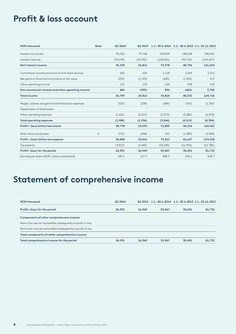# **Profit & loss account**

| <b>NOK thousand</b>                                 | <b>Note</b>    | <b>Q2 2014</b> |          | Q2 2013 1.1.-30.6.2014 1.1.-30.6.2013 1.1.-31.12.2013 |           |            |
|-----------------------------------------------------|----------------|----------------|----------|-------------------------------------------------------|-----------|------------|
| Interest income etc.                                |                | 95,556         | 79,744   | 194,069                                               | 148,528   | 340,451    |
| Interest costs etc.                                 |                | (59, 278)      | (52,932) | (118,091)                                             | (99, 732) | (219, 427) |
| Net interest income                                 |                | 36,278         | 26,811   | 75,978                                                | 48,796    | 121,024    |
| Commission income and income from bank services     |                | 602            | 636      | 1,218                                                 | 1,245     | 2,512      |
| Net gains on financial instruments at fair value    |                | (253)          | (1,765)  | (645)                                                 | (1,969)   | 672        |
| Other operating income                              |                | 132            | 129      | 264                                                   | 258       | 518        |
| Net commission income and other operating income    |                | 481            | (999)    | 836                                                   | (465)     | 3,702      |
| <b>Total income</b>                                 |                | 36,759         | 25,812   | 76,814                                                | 48,331    | 124,726    |
| Wages, salaries and general administration expenses |                | (319)          | (238)    | (689)                                                 | (633)     | (1,350)    |
| Depreciation of fixed assets                        |                |                |          |                                                       |           |            |
| Other operating expenses                            |                | (1,661)        | (2,019)  | (3, 274)                                              | (3,482)   | (6,954)    |
| <b>Total operating expenses</b>                     |                | (1,980)        | (2, 256) | (3,964)                                               | (4, 115)  | (8, 304)   |
| Profit / (loss) before loan losses                  |                | 34,778         | 23,555   | 72,850                                                | 44,216    | 116,422    |
| Write-downs and losses                              | $\overline{4}$ | (375)          | (544)    | 562                                                   | (1, 589)  | (2,904)    |
| Profit / (loss) before tax expense                  |                | 34,404         | 23,012   | 73,412                                                | 42,627    | 113,518    |
| Tax expense                                         |                | (9, 812)       | (6, 443) | (20, 345)                                             | (11,936)  | (31,786)   |
| Profit/ (loss) for the period                       |                | 24,591         | 16,569   | 53,067                                                | 30,691    | 81,732     |
| Earnings per share (NOK) (basic and diluted)        |                | 189.2          | 127.5    | 408.2                                                 | 236.1     | 628.7      |

# **Statement of comprehensive income**

| <b>NOK thousand</b>                                            | Q2 2014 | Q2 2013 | 1.1. -30.6.2014 1.1. -30.6.2013 1.1. -31.12.2013 |        |        |
|----------------------------------------------------------------|---------|---------|--------------------------------------------------|--------|--------|
| Profit/ (loss) for the period                                  | 24,591  | 16,569  | 53,067                                           | 30,691 | 81,732 |
| Components of other comprehensive income                       |         |         |                                                  |        |        |
| Items that are not reclassified subsequently to profit or loss |         |         |                                                  |        |        |
| Items that may be reclassified subsequently to profit or loss  |         |         |                                                  |        |        |
| Total components of other comprehensive income                 |         |         |                                                  |        |        |
| Total comprehensive income for the period                      | 24,591  | 16,569  | 53,067                                           | 30,691 | 81,732 |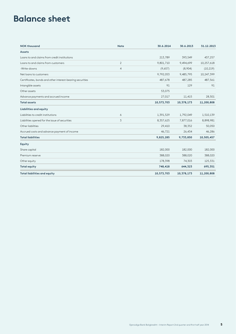# **Balance sheet**

| <b>NOK thousand</b>                                       | <b>Note</b>    | 30.6.2014  | 30.6.2013  | 31.12.2013 |
|-----------------------------------------------------------|----------------|------------|------------|------------|
| Assets                                                    |                |            |            |            |
| Loans to and claims from credit institutions              |                | 213,789    | 393,549    | 437,257    |
| Loans to and claims from customers                        | $\overline{2}$ | 9,801,710  | 9,494,699  | 10,257,618 |
| -Write-downs                                              | $\overline{4}$ | (9,657)    | (8,904)    | (10, 219)  |
| Net loans to customers                                    |                | 9,792,053  | 9,485,795  | 10,247,399 |
| Certificates, bonds and other interest-bearing securities |                | 487,678    | 487,285    | 487,561    |
| Intangible assets                                         |                | 91         | 129        | 91         |
| Other assets                                              |                | 53,075     |            |            |
| Advance payments and accrued income                       |                | 27,017     | 11,415     | 28,501     |
| <b>Total assets</b>                                       |                | 10,573,703 | 10,378,173 | 11,200,808 |
| Liabilities and equity                                    |                |            |            |            |
| Liabilities to credit institutions                        | 6              | 1,391,529  | 1,792,049  | 1,510,139  |
| Liabilities opened for the issue of securities            | 3              | 8,357,625  | 7,877,016  | 8,898,981  |
| Other liabilities                                         |                | 29,410     | 38,352     | 50,050     |
| Accrued costs and advance payment of income               |                | 46,721     | 26,434     | 46,286     |
| <b>Total liabilities</b>                                  |                | 9,825,285  | 9,733,850  | 10,505,457 |
| Equity                                                    |                |            |            |            |
| Share capital                                             |                | 182,000    | 182,000    | 182,000    |
| Premium reserve                                           |                | 388,020    | 388,020    | 388,020    |
| Other equity                                              |                | 178,398    | 74,303     | 125,331    |
| <b>Total equity</b>                                       |                | 748,418    | 644,323    | 695,351    |
| <b>Total liabilities and equity</b>                       |                | 10,573,703 | 10,378,173 | 11,200,808 |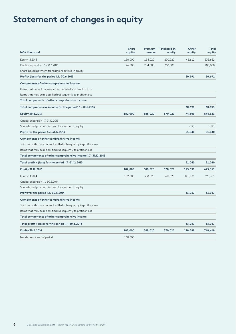# **Statement of changes in equity**

| <b>NOK thousand</b>                                                  | <b>Share</b><br>capital | Premium<br>reserve | <b>Total paid-in</b><br>equity | Other<br>equity | Total<br>equity |
|----------------------------------------------------------------------|-------------------------|--------------------|--------------------------------|-----------------|-----------------|
| Equity 1.1.2013                                                      | 156,000                 | 134,020            | 290,020                        | 43,612          | 333,632         |
| Capital expansion 1.1.-30.6.2013                                     | 26,000                  | 254,000            | 280,000                        |                 | 280,000         |
| Share-based payment transactions settled in equity                   |                         |                    |                                |                 |                 |
| Profit/ (loss) for the period 1.1.-30.6.2013                         |                         |                    |                                | 30,691          | 30,691          |
| Components of other comprehensive income                             |                         |                    |                                |                 |                 |
| Items that are not reclassified subsequently to profit or loss       |                         |                    |                                |                 |                 |
| Items that may be reclassified subsequently to profit or loss        |                         |                    |                                |                 |                 |
| Total components of other comprehensive income                       |                         |                    |                                |                 |                 |
| Total comprehensive income for the period 1.1.-30.6.2013             |                         |                    |                                | 30,691          | 30,691          |
| <b>Equity 30.6.2013</b>                                              | 182,000                 | 388,020            | 570,020                        | 74,303          | 644,323         |
| Capital expansion 1.7.-31.12.2013                                    |                         |                    |                                |                 |                 |
| Share-based payment transactions settled in equity                   |                         |                    |                                | (12)            | (12)            |
| Profit for the period 1.7.-31.12.2013                                |                         |                    |                                | 51,040          | 51,040          |
| Components of other comprehensive income                             |                         |                    |                                |                 |                 |
| Total items that are not reclassified subsequently to profit or loss |                         |                    |                                |                 |                 |
| Items that may be reclassified subsequently to profit or loss        |                         |                    |                                |                 |                 |
| Total components of other comprehensive income 1.7.-31.12.2013       |                         |                    |                                |                 |                 |
| Total profit / (loss) for the period 1.7.-31.12.2013                 |                         |                    |                                | 51,040          | 51,040          |
| <b>Equity 31.12.2013</b>                                             | 182,000                 | 388,020            | 570,020                        | 125,331         | 695,351         |
| Equity 1.1.2014                                                      | 182,000                 | 388,020            | 570,020                        | 125,331         | 695,351         |
| Capital expansion 1.1.-30.6.2014                                     |                         |                    |                                |                 |                 |
| Share-based payment transactions settled in equity                   |                         |                    |                                |                 |                 |
| Profit for the period 1.1.-30.6.2014                                 |                         |                    |                                | 53,067          | 53,067          |
| Components of other comprehensive income                             |                         |                    |                                |                 |                 |
| Total items that are not reclassified subsequently to profit or loss |                         |                    |                                |                 |                 |
| Items that may be reclassified subsequently to profit or loss        |                         |                    |                                |                 |                 |
| Total components of other comprehensive income                       |                         |                    |                                |                 |                 |
| Total profit / (loss) for the period 1.1.-30.6.2014                  |                         |                    |                                | 53,067          | 53,067          |
| Equity 30.6.2014                                                     | 182,000                 | 388,020            | 570,020                        | 178,398         | 748,418         |
| No. shares at end of period                                          | 130,000                 |                    |                                |                 |                 |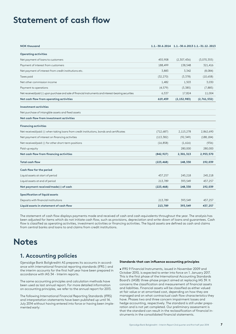## **Statement of cash flow**

| <b>NOK thousand</b>                                                                                   |            | 1.1. - 30.6.2014 1.1. - 30.6.2013 1.1. - 31.12. 2013 |             |
|-------------------------------------------------------------------------------------------------------|------------|------------------------------------------------------|-------------|
| <b>Operating activities</b>                                                                           |            |                                                      |             |
| Net payment of loans to customers                                                                     | 455,908    | (2,307,436)                                          | (3,070,355) |
| Payment of interest from customers                                                                    | 188,499    | 138,548                                              | 321,416     |
| Net payment of interest from credit institutions etc.                                                 | 3,883      | 3,342                                                | (8,084)     |
| Taxes paid                                                                                            | (32, 270)  | (3, 378)                                             | (10,658)    |
| Net other commission income                                                                           | 1,482      | 1,503                                                | 3,030       |
| Payment to operations                                                                                 | (4, 579)   | (3,385)                                              | (7,885)     |
| Net received/paid (-) upon purchase and sale of financial instruments and interest-bearing securities | 6,537      | 17,824                                               | 11,004      |
| Net cash flow from operating activities                                                               | 619,459    | (2, 152, 983)                                        | (2,761,532) |
| <b>Investment activities</b>                                                                          |            |                                                      |             |
| Net purchase of intangible assets and fixed assets                                                    |            |                                                      |             |
| Net cash flow from investment activities                                                              |            |                                                      |             |
| <b>Financing activities</b>                                                                           |            |                                                      |             |
| Net received/paid (-) when taking loans from credit institutions, bonds and certificates              | (712,687)  | 2,115,278                                            | 2,862,690   |
| Net payment of interest on financing activities                                                       | (113, 382) | (92, 349)                                            | (188, 184)  |
| Net received/paid (-) for other short-term positions                                                  | (16, 858)  | (1,616)                                              | (936)       |
| Paid-up equity                                                                                        |            | 280,000                                              | 280,000     |
| Net cash flow from financing activities                                                               | (842, 927) | 2,301,313                                            | 2,953,570   |
| <b>Total cash flow</b>                                                                                | (223, 468) | 148,330                                              | 192,039     |
| Cash flow for the period                                                                              |            |                                                      |             |
| Liquid assets at start of period                                                                      | 437,257    | 245,218                                              | 245,218     |
| Liquid assets at end of period                                                                        | 213,789    | 393,549                                              | 437,257     |
| Net payment received/made(-) of cash                                                                  | (223, 468) | 148,330                                              | 192,039     |
| <b>Specification of liquid assets</b>                                                                 |            |                                                      |             |
| Deposits with financial institutions                                                                  | 213,789    | 393,549                                              | 437,257     |
| Liquid assets in statement of cash flow                                                               | 213,789    | 393,549                                              | 437,257     |

The statement of cash flow displays payments made and received of cash and cash equivalents throughout the year. The analysis has been adjusted for items which do not initiate cash flow, such as provisions, depreciation and write-down of loans and guarantees. Cash flow is classified as operating activities, investment activities or financing activities. The liquid assets are defined as cash and claims from central banks and loans to and claims from credit institutions.

## **Notes**

### **1. Accounting policies**

Gjensidige Bank Boligkreditt AS prepares its accounts in accordance with international financial reporting standards (IFRS ) and the interim accounts for the first half year have been prepared in accordance with IAS 34 - Interim reports.

The same accounting principles and calculation methods have been used as last annual report. For more detailed information on accounting principles, we refer to the annual report for 2013.

The following International Financial Reporting Standards (IFRS) and interpretation statements have been published up until 14. July 2014 without having entered into force or having been implemented early:

#### **Standards that can influence accounting principles**

• IFRS 9 Financial Instruments, issued in November 2009 and October 2010, is expected to enter into force on 1. January 2017. This is the first phase of the International Accounting Standards Board's (IASB) three-phase project aimed at replacing IAS 39. It concerns the classification and measurement of financial assets and liabilities. Financial assets will be classified as either valued at fair value or at amortised cost, depending on how they are managed and on what contractual cash flow characteristics they have. Phases two and three concern impairment losses and hedge accounting, respectively. The standard is still under preparation and is not yet completed. Our preliminary assessment is that the standard can result in the reclassification of financial instruments in the consolidated financial statements.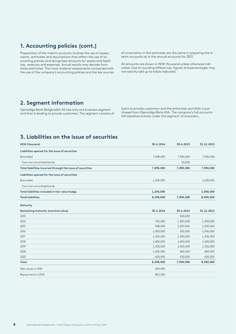### **1. Accounting policies (cont.)**

Preparation of the interim accounts involves the use of assessments, estimates and assumptions that affect the use of accounting policies and recognised amounts for assets and liabilities, revenues and expenses. Actual results may deviate from these estimates. The most material assessments connected with the use of the company's accounting policies and the key sources of uncertainty in the estimates are the same in preparing the interim accounts as in the annual accounts for 2013.

All amounts are shown in NOK thousand unless otherwise indicated. Due to rounding differences, figures and percentages may not exactly add up to totals indicated.

### **2. Segment information**

Gjensidige Bank Boligkreditt AS has only one business segment and that is lending to private customers. The segment consists of loans to private customers and the entire loan portfolio is purchased from Gjensidige Bank ASA. The company's full accounts fall therefore entirely under the segment «Consumer».

### **3. Liabilities on the issue of securities**

| <b>NOK thousand</b>                                        | 30.6.2014 | 30.6.2013 |            |
|------------------------------------------------------------|-----------|-----------|------------|
| Liabilities opened for the issue of securities             |           |           |            |
| Bond debt                                                  | 7,098,000 | 7,900,000 | 7,900,000  |
| - Own non-amortised bonds                                  |           | 10,000    |            |
| Total liabilities incurred through the issue of securities | 7,098,000 | 7,890,000 | 7,900,000  |
| Liabilities opened for the issue of securities             |           |           |            |
| Bond debt                                                  | 1,200,000 |           | 1,000,000  |
| - Own non-amortised bonds                                  |           |           |            |
| Total liabilities included in fair value hedge             | 1,200,000 |           | 1,000,000  |
| <b>Total liabilities</b>                                   | 8,298,000 | 7,890,000 | 8,900,000  |
| Maturity                                                   |           |           |            |
| Remaining maturity (nominal value)                         | 30.6.2014 | 30.6.2013 | 31.12.2013 |
| 2013                                                       |           | 500,000   |            |
| 2014                                                       | 750,000   | 1,450,000 | 1,450,000  |
| 2015                                                       | 948,000   | 1,050,000 | 1,050,000  |
| 2016                                                       | 1,000,000 | 300,000   | 1,000,000  |
| 2017                                                       | 1,300,000 | 1,300,000 | 1,300,000  |
| 2018                                                       | 1,400,000 | 1,400,000 | 1,400,000  |
| 2019                                                       | 1,300,000 | 1,000,000 | 1,300,000  |
| 2020                                                       | 1,000,000 | 400,000   | 800,000    |
| 2025                                                       | 600,000   | 500,000   | 600,000    |
| Total                                                      | 8,298,000 | 7,900,000 | 8,900,000  |
| New issues in 2014                                         | 200,000   |           |            |
| Repayments in 2014                                         | 802,000   |           |            |
|                                                            |           |           |            |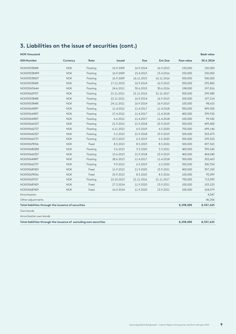## **3. Liabilities on the issue of securities (cont.)**

**NOK thousand Book value**

| <b>ISIN Number</b>                                                 | Currency   | Rate     | <b>Issued</b> | <b>Due</b> | Ext.Due    | <b>Face value</b> | 30.6.2014 |
|--------------------------------------------------------------------|------------|----------|---------------|------------|------------|-------------------|-----------|
| NO0010538481                                                       | <b>NOK</b> | Floating | 16.9.2009     | 16.9.2014  | 16.9.2015  | 150,000           | 150,000   |
| NO0010538499                                                       | <b>NOK</b> | Floating | 16.9.2009     | 15.4.2015  | 15.4.2016  | 250,000           | 250,000   |
| NO0010538507                                                       | <b>NOK</b> | Floating | 16.9.2009     | 16.11.2015 | 16.11.2016 | 500,000           | 500,000   |
| NO0010538481                                                       | <b>NOK</b> | Floating | 17.11.2010    | 16.9.2014  | 16.9.2015  | 300,000           | 295,800   |
| NO0010615644                                                       | <b>NOK</b> | Floating | 24.6.2011     | 30.6.2015  | 30.6.2016  | 198,000           | 197,816   |
| NO0010629157                                                       | <b>NOK</b> | Floating | 21.11.2011    | 21.11.2016 | 21.11.2017 | 300,000           | 299,580   |
| NO0010538481                                                       | <b>NOK</b> | Floating | 22.11.2011    | 16.9.2014  | 16.9.2015  | 200,000           | 197,214   |
| NO0010538481                                                       | <b>NOK</b> | Floating | 24.11.2011    | 16.9.2014  | 16.9.2015  | 100,000           | 98,610    |
| NO0010641897                                                       | <b>NOK</b> | Floating | 11.4.2012     | 11.4.2017  | 11.4.2018  | 500,000           | 499,500   |
| NO0010641897                                                       | <b>NOK</b> | Floating | 27.4.2012     | 11.4.2017  | 11.4.2018  | 400,000           | 399,920   |
| NO0010641897                                                       | <b>NOK</b> | Floating | 6.6.2012      | 11.4.2017  | 11.4.2018  | 100,000           | 99,942    |
| NO0010660327                                                       | <b>NOK</b> | Floating | 21.9.2012     | 21.9.2018  | 23.9.2019  | 500,000           | 499,400   |
| NO0010662737                                                       | <b>NOK</b> | Floating | 6.11.2012     | 6.5.2019   | 6.5.2020   | 700,000           | 699,146   |
| NO0010660327                                                       | <b>NOK</b> | Floating | 5.2.2013      | 21.9.2018  | 23.9.2019  | 500,000           | 503,475   |
| NO0010662737                                                       | <b>NOK</b> | Floating | 25.3.2013     | 6.5.2019   | 6.5.2020   | 300,000           | 299,520   |
| NO0010678766                                                       | <b>NOK</b> | Fixed    | 8.5.2013      | 8.5.2025   | 8.5.2026   | 500,000           | 497,565   |
| NO0010680283                                                       | <b>NOK</b> | Floating | 3.6.2013      | 3.3.2020   | 3.3.2021   | 400,000           | 399,240   |
| NO0010660327                                                       | <b>NOK</b> | Floating | 13.6.2013     | 21.9.2018  | 23.9.2019  | 400,000           | 404,040   |
| NO0010641897                                                       | <b>NOK</b> | Floating | 28.6.2013     | 11.4.2017  | 11.4.2018  | 300,000           | 303,663   |
| NO0010662737                                                       | <b>NOK</b> | Floating | 9.9.2013      | 6.5.2019   | 6.5.2020   | 300,000           | 300,354   |
| NO0010687429                                                       | <b>NOK</b> | Fixed    | 11.9.2013     | 11.9.2020  | 13.9.2021  | 400,000           | 397,100   |
| NO0010678766                                                       | <b>NOK</b> | Fixed    | 25.9.2013     | 8.5.2025   | 8.5.2026   | 100,000           | 95,099    |
| NO0010629157                                                       | <b>NOK</b> | Floating | 10.10.2013    | 21.11.2016 | 21.11.2017 | 700,000           | 713,090   |
| NO0010687429                                                       | <b>NOK</b> | Fixed    | 27.3.2014     | 11.9.2020  | 13.9.2021  | 100,000           | 103,220   |
| NO0010687429                                                       | <b>NOK</b> | Fixed    | 16.5.2014     | 11.9.2020  | 13.9.2021  | 100,000           | 104,079   |
| Amortisation                                                       |            |          |               |            |            |                   | 4,047     |
| Other adjustments                                                  |            |          |               |            |            |                   | 46,206    |
| Total liabilities through the issuance of securities               |            |          |               |            |            | 8,298,000         | 8,357,625 |
| Own bonds                                                          |            |          |               |            |            |                   |           |
| Amortisation own bonds                                             |            |          |               |            |            |                   |           |
| Total liabilities through the issuance of excluding own securities |            |          |               |            |            | 8,298,000         | 8,357,625 |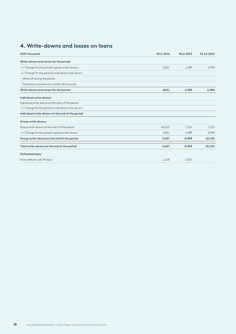## **4. Write-downs and losses on loans**

| <b>NOK thousand</b>                                 | 30.6.2014 | 30.6.2013 | 31.12.2013 |
|-----------------------------------------------------|-----------|-----------|------------|
| Write-downs and losses for the period               |           |           |            |
| +/- Change for the period in group write-downs      | (562)     | 1,589     | 2,904      |
| +/- Change for the period in individual write-downs |           |           |            |
| + Write off during the period                       |           |           |            |
| - Payments on previously written off accounts       |           |           |            |
| Write-downs and losses for the period               | (562)     | 1,589     | 2,904      |
| Individual write-downs                              |           |           |            |
| Individual write-downs at the start of the period   |           |           |            |
| +/- Change for the period in individual write-downs |           |           |            |
| Individual write-downs at the end of the period     |           |           |            |
| Group write-downs                                   |           |           |            |
| Group write-downs at the start of the period        | 10,219    | 7,315     | 7,315      |
| +/- Change for the period in group write-downs      | (562)     | 1,589     | 2,904      |
| Group write-downs at the end of the period          | 9,657     | 8,904     | 10,219     |
| Total write-downs at the end of the period          | 9,657     | 8,904     | 10,219     |
| <b>Defaulted loans</b>                              |           |           |            |
| Gross default over 90 days                          | 1,618     | 1,813     |            |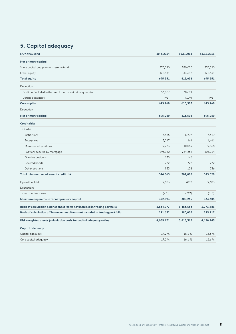## **5. Capital adequacy**

| <b>NOK thousand</b>                                                            | 30.6.2014 | 30.6.2013 | 31.12.2013 |
|--------------------------------------------------------------------------------|-----------|-----------|------------|
| Net primary capital                                                            |           |           |            |
| Share capital and premium reserve fund                                         | 570,020   | 570,020   | 570,020    |
| Other equity                                                                   | 125,331   | 43,612    | 125,331    |
| <b>Total equity</b>                                                            | 695,351   | 613,632   | 695,351    |
| Deduction:                                                                     |           |           |            |
| Profit not included in the calculation of net primary capital                  | 53,067    | 30,691    |            |
| Deferred tax asset                                                             | (91)      | (129)     | (91)       |
| Core capital                                                                   | 695,260   | 613,503   | 695,260    |
| Deduction                                                                      |           |           |            |
| Net primary capital                                                            | 695,260   | 613,503   | 695,260    |
| Credit risk:                                                                   |           |           |            |
| Of which:                                                                      |           |           |            |
| Institutions                                                                   | 4,365     | 6,297     | 7,319      |
| Enterprises                                                                    | 5,047     | 261       | 1,461      |
| Mass market positions                                                          | 9,723     | 10,069    | 9,868      |
| Positions secured by mortgage                                                  | 293,120   | 284,252   | 305,914    |
| Overdue positions                                                              | 133       | 146       |            |
| Covered bonds                                                                  | 722       | 722       | 722        |
| Other positions                                                                | 953       | 138       | 236        |
| Total minimum requirement credit risk                                          | 314,063   | 301,885   | 325,520    |
| Operational risk                                                               | 9,603     | 4092      | 9,603      |
| Deduction:                                                                     |           |           |            |
| Group write-downs                                                              | (773)     | (712)     | (818)      |
| Minimum requirement for net primary capital                                    | 322,893   | 305,265   | 334,305    |
| Basis of calculation balance sheet items not included in trading portfolio     | 3,634,077 | 3,483,554 | 3,773,883  |
| Basis of calculation off balance sheet items not included in trading portfolio | 291,652   | 290,005   | 295,117    |
| Risk-weighted assets (calculation basis for capital adequacy ratio)            | 4,035,171 | 3,815,317 | 4,178,245  |
| Capital adequacy                                                               |           |           |            |
| Capital adequacy                                                               | 17.2%     | 16.1%     | 16.6%      |
| Core capital adequacy                                                          | 17.2%     | 16.1%     | 16.6%      |
|                                                                                |           |           |            |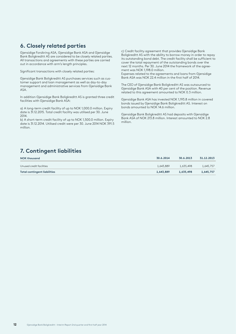### **6. Closely related parties**

Gjensidige Forsikring ASA, Gjensidige Bank ASA and Gjensidige Bank Boligkreditt AS are considered to be closely related parties. All transactions and agreements with these parties are carried out in accordance with arm's length principles.

Significant transactions with closely related parties:

Gjensidige Bank Boligkreditt AS purchases services such as customer support and loan management as well as day-to-day management and administrative services from Gjensidige Bank ASA.

In addition Gjensidige Bank Boligkreditt AS is granted three credit facilities with Gjensidige Bank ASA:

a) A long-term credit facility of up to NOK 1,000.0 million. Expiry date is 31.12.2015. Total credit facility was utilised per 30. June 2014.

b) A short-term credit facility of up to NOK 1,500.0 million. Expiry date is 31.12.2014. Utilised credit were per 30. June 2014 NOK 391.5 million.

c) Credit facility agreement that provides Gjensidige Bank Boligkreditt AS with the ability to borrow money in order to repay its outstanding bond debt. The credit facility shall be sufficient to cover the total repayment of the outstanding bonds over the next 12 months. Per 30. June 2014 the framework of the agreement was NOK 1,198.0 million.

Expenses related to the agreements and loans from Gjensidige Bank ASA was NOK 22.4 million in the first half of 2014.

The CEO of Gjensidige Bank Boligkreditt AS was outsourced to Gjensidige Bank ASA with 40 per cent of the position. Revenue related to this agreement amounted to NOK 0.3 million.

Gjensidige Bank ASA has invested NOK 1,193.8 million in covered bonds issued by Gjensidige Bank Boligkreditt AS. Interest on bonds amounted to NOK 14.6 million.

Gjensidige Bank Boligkreditt AS had deposits with Gjensidige Bank ASA of NOK 213.8 million. Interest amounted to NOK 2.8 million.

### **7. Contingent liabilities**

| <b>NOK thousand</b>                 | 30.6.2014 | 30.6.2013 | 31.12.2013 |
|-------------------------------------|-----------|-----------|------------|
| Unused credit facilities            | 1,643,889 | 1,635,498 | 1,645,757  |
| <b>Total contingent liabilities</b> | 1,643,889 | 1,635,498 | 1,645,757  |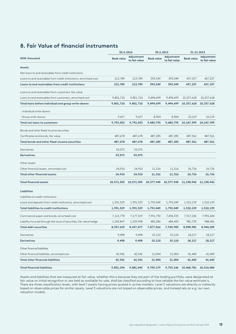### **8. Fair Value of financial instruments**

|                                                                      | 30.6.2014         |                             | 30.6.2013         |                             | 31.12.2013        |                             |
|----------------------------------------------------------------------|-------------------|-----------------------------|-------------------|-----------------------------|-------------------|-----------------------------|
| <b>NOK thousand</b>                                                  | <b>Book value</b> | Adjustment<br>to fair value | <b>Book value</b> | Adjustment<br>to fair value | <b>Book value</b> | Adjustment<br>to fair value |
| Assets                                                               |                   |                             |                   |                             |                   |                             |
| Net loans to and receivables from credit institutions                |                   |                             |                   |                             |                   |                             |
| Loans to and receivables from credit institutions, amortised cost    | 213,789           | 213,789                     | 393,549           | 393,549                     | 437,257           | 437,257                     |
| Loans to and receivables from credit institutions                    | 213,789           | 213,789                     | 393,549           | 393,549                     | 437,257           | 437,257                     |
| Loans to and receivables from customers, fair value                  |                   |                             |                   |                             |                   |                             |
| Loans to and receivables from customers, amortised cost              | 9,801,710         | 9,801,710                   | 9,494,699         | 9,494,699                   | 10,257,618        | 10,257,618                  |
| Total loans before individual and group write-downs                  | 9,801,710         | 9,801,710                   | 9,494,699         | 9,494,699                   | 10,257,618        | 10,257,618                  |
| - Individual write-downs                                             |                   |                             |                   |                             |                   |                             |
| - Group write-downs                                                  | 9,657             | 9,657                       | 8,904             | 8,904                       | 10,219            | 10,219                      |
| <b>Total net loans to customers</b>                                  | 9,792,053         | 9,792,053                   | 9,485,795         | 9,485,795                   | 10,247,399        | 10,247,399                  |
| Bonds and other fixed-income securities                              |                   |                             |                   |                             |                   |                             |
| Certificates and bonds, fair value                                   | 487,678           | 487,678                     | 487,285           | 487,285                     | 487,561           | 487,561                     |
| Total bonds and other fixed-income securities                        | 487,678           | 487,678                     | 487,285           | 487,285                     | 487,561           | 487,561                     |
| Derivatives                                                          | 53,075            | 53,075                      |                   |                             |                   |                             |
| <b>Derivatives</b>                                                   | 53,075            | 53,075                      |                   |                             |                   |                             |
| Other assets                                                         |                   |                             |                   |                             |                   |                             |
| Other financial assets, amortised cost                               | 24,910            | 24,910                      | 11,316            | 11,316                      | 26,726            | 26,726                      |
| <b>Total other financial assets</b>                                  | 24,910            | 24,910                      | 11,316            | 11,316                      | 26,726            | 26,726                      |
| <b>Total financial assets</b>                                        | 10,571,505        | 10,571,505                  | 10,377,945        | 10,377,945                  | 11,198,942        | 11,198,942                  |
| <b>Liabilities</b>                                                   |                   |                             |                   |                             |                   |                             |
| Liabilities to credit institutions                                   |                   |                             |                   |                             |                   |                             |
| Loans and deposits from credit institutions, amortised cost          | 1,391,529         | 1,391,529                   | 1,792,049         | 1,792,049                   | 1,510,139         | 1,510,139                   |
| Total liabilities to credit institutions                             | 1,391,529         | 1,391,529                   | 1,792,049         | 1,792,049                   | 1,510,139         | 1,510,139                   |
| Commercial paper and bonds, amortised cost                           | 7,113,778         | 7,177,519                   | 7,391,730         | 7,436,533                   | 7,917,242         | 7,955,604                   |
| Liability incurred through the issue of securities, fair value hedge | 1,243,847         | 1,259,958                   | 485,286           | 484,450                     | 981,739           | 988,681                     |
| Total debt securities                                                | 8,357,625         | 8,437,477                   | 7,877,016         | 7,920,983                   | 8,898,981         | 8,944,285                   |
| Derivatives                                                          | 9,498             | 9,498                       | 19,110            | 19,110                      | 18,217            | 18,217                      |
| <b>Derivatives</b>                                                   | 9,498             | 9,498                       | 19,110            | 19,110                      | 18,217            | 18,217                      |
| Other financial liabilities                                          |                   |                             |                   |                             |                   |                             |
| Other financial liabilities, amortised cost                          | 42,541            | 42,541                      | 21,004            | 21,004                      | 41,443            | 41,443                      |
| <b>Total other financial liabilities</b>                             | 42,541            | 42,541                      | 21,004            | 21,004                      | 41,443            | 41,443                      |
| <b>Total financial liabilities</b>                                   | 9,801,194         | 9,881,045                   | 9,709,179         | 9,753,146                   | 10,468,781        | 10,514,084                  |

Assets and liabilities that are measured at fair value, whether this is because they are part of the trading portfolio, were designated at fair value on initial recognition or are held as available for sale, shall be classified according to how reliable the fair value estimate is. There are three classification levels, with level 1 assets having prices quoted in active markets. Level 2 valuations are directly or indirectly based on observable prices for similar assets. Level 3 valuations are not based on observable prices, and instead rely on e.g. our own valuation models.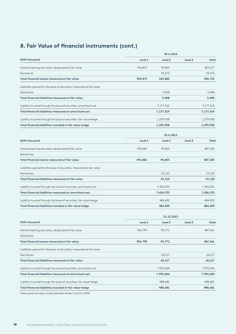## **8. Fair Value of financial instruments (cont.)**

|                                                                        | 30.6.2014  |                    |         |           |  |  |
|------------------------------------------------------------------------|------------|--------------------|---------|-----------|--|--|
| <b>NOK thousand</b>                                                    | Level 1    | Level <sub>2</sub> | Level 3 | Total     |  |  |
| Interest-bearing securities, designated at fair value                  | 396,872    | 90,805             |         | 487,677   |  |  |
| Derivatives                                                            |            | 53,075             |         | 53,075    |  |  |
| Total financial assets measured at fair value                          | 396,872    | 143,880            |         | 540,752   |  |  |
| Liabilities opened for the issue of securities, measured at fair value |            |                    |         |           |  |  |
| Derivatives                                                            |            | 9,498              |         | 9,498     |  |  |
| Total financial liabilities measured at fair value                     |            | 9,498              |         | 9,498     |  |  |
| Liability incurred through the issue of securities, amortised cost     |            | 7,177,519          |         | 7,177,519 |  |  |
| Total financial liabilities measured at amortised cost                 |            | 7,177,519          |         | 7,177,519 |  |  |
| Liability incurred through the issue of securities, fair value hedge   |            | 1,259,958          |         | 1,259,958 |  |  |
| Total financial liabilities included in fair value hedge               |            | 1,259,958          |         | 1,259,958 |  |  |
|                                                                        | 30.6.2013  |                    |         |           |  |  |
| <b>NOK thousand</b>                                                    | Level 1    | Level 2            | Level 3 | Total     |  |  |
| Interest-bearing securities, designated at fair value                  | 396,482    | 90,803             |         | 487,285   |  |  |
| Derivatives                                                            |            |                    |         |           |  |  |
| Total financial assets measured at fair value                          | 396,482    | 90,803             |         | 487,285   |  |  |
| Liabilities opened for the issue of securities, measured at fair value |            |                    |         |           |  |  |
| Derivatives                                                            |            | 19,110             |         | 19,110    |  |  |
| Total financial liabilities measured at fair value                     |            | 19,110             |         | 19,110    |  |  |
| Liability incurred through the issue of securities, amortised cost     |            | 7,436,533          |         | 7,436,533 |  |  |
| Total financial liabilities measured at amortised cost                 |            | 7,436,533          |         | 7,436,533 |  |  |
| Liability incurred through the issue of securities, fair value hedge   |            | 484,450            |         | 484,450   |  |  |
| Total financial liabilities included in fair value hedge               |            | 484,450            |         | 484,450   |  |  |
|                                                                        | 31.12.2013 |                    |         |           |  |  |
| <b>NOK thousand</b>                                                    | Level 1    | Level 2            | Level 3 | Total     |  |  |
| Interest-bearing securities, designated at fair value                  | 396,790    | 90,771             |         | 487,561   |  |  |
| Derivatives                                                            |            |                    |         |           |  |  |
| Total financial assets measured at fair value                          | 396,790    | 90,771             |         | 487,561   |  |  |
| Liabilities opened for the issue of securities, measured at fair value |            |                    |         |           |  |  |
| Derivatives                                                            |            | 18,217             |         | 18,217    |  |  |
| Total financial liabilities measured at fair value                     |            | 18,217             |         | 18,217    |  |  |
| Liability incurred through the issue of securities, amortised cost     |            | 7,955,604          |         | 7,955,604 |  |  |
| Total financial liabilities measured at amortised cost                 |            | 7,955,604          |         | 7,955,604 |  |  |
| Liability incurred through the issue of securities, fair value hedge   |            | 988,681            |         | 988,681   |  |  |
| Total financial liabilities included in fair value hedge               |            | 988,681            |         | 988,681   |  |  |
|                                                                        |            |                    |         |           |  |  |

There were no major moves between levels 1 and 2 in 2014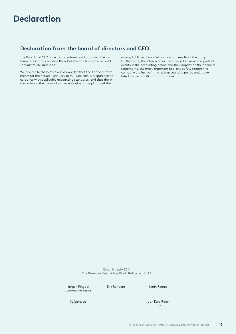# **Declaration**

### **Declaration from the board of directors and CEO**

The Board and CEO have today reviewed and approved the interim report for Gjensidige Bank Boligkreditt AS for the period 1. January to 30. June 2014.

We declare to the best of our knowledge that the financial statements for the period 1. January to 30. June 2014 is prepared in accordance with applicable accounting standards, and that the information in the financial statements give a true picture of the

assets, liabilities, financial position and results of the group. Furthermore, the interim report provides a fair view of important events in the accounting period and their impact on the financial statements, the most important risk- and safety factors the company are facing in the next accounting period and the related parties significant transactions.

**Oslo, 14. July 2014 The Board of Gjensidige Bank Boligkreditt AS**

Jørgen Ringdal Erik Ranberg Karin Remøe Chairman of the Board

Solbjørg Lie Jan Kåre Raae <u>ce de la compa</u>nista de la compania de la compania de la compania de la compania de la compania de la compania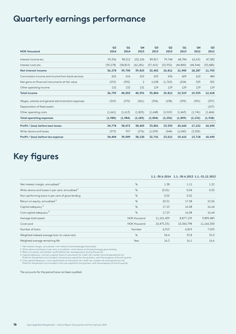# **Quarterly earnings performance**

| <b>NOK thousand</b>                                 | Q <sub>2</sub><br>2014 | Q1<br>2014 | Q4<br>2013 | Q <sub>3</sub><br>2013 | Q <sub>2</sub><br>2013 | Q1<br>2013 | Q4<br>2012 | Q <sub>3</sub><br>2012 |
|-----------------------------------------------------|------------------------|------------|------------|------------------------|------------------------|------------|------------|------------------------|
| Interest income etc.                                | 95,556                 | 98,512     | 102,106    | 89,817                 | 79,744                 | 68,784     | 62,631     | 47,383                 |
| Interest costs etc.                                 | (59, 278)              | (58, 813)  | (62, 281)  | (57, 415)              | (52, 932)              | (46, 800)  | (44, 344)  | (35,680)               |
| Net interest income                                 | 36,278                 | 39,700     | 39,825     | 32,402                 | 26,811                 | 21,985     | 18,287     | 11,703                 |
| Commission income and income from bank services     | 602                    | 616        | 632        | 635                    | 636                    | 609        | 610        | 484                    |
| Net gains on financial instruments at fair value    | (253)                  | (392)      | 2          | 2,638                  | (1,765)                | (204)      | 329        | 302                    |
| Other operating income                              | 132                    | 132        | 131        | 129                    | 129                    | 129        | 129        | 129                    |
| <b>Total income</b>                                 | 36,759                 | 40,055     | 40,591     | 35,804                 | 25,812                 | 22,519     | 19,355     | 12,618                 |
| Wages, salaries and general administration expenses | (319)                  | (370)      | (361)      | (356)                  | (238)                  | (395)      | (391)      | (357)                  |
| Depreciation of fixed assets                        |                        |            |            |                        |                        |            |            | (107)                  |
| Other operating costs                               | (1,661)                | (1,613)    | (1,825)    | (1,648)                | (2,019)                | (1, 463)   | (1,741)    | (1, 464)               |
| <b>Total operating expenses</b>                     | (1,980)                | (1,984)    | (2, 185)   | (2,004)                | (2, 256)               | (1,859)    | (2, 132)   | (1,928)                |
| Profit / (loss) before loan losses                  | 34,778                 | 38,072     | 38,405     | 33,801                 | 23,555                 | 20,660     | 17,222     | 10,690                 |
| Write-downs and losses                              | (375)                  | 937        | (276)      | (1,039)                | (544)                  | (1,045)    | (3, 505)   |                        |
| Profit / (loss) before tax expense                  | 34,404                 | 39,009     | 38,130     | 32,761                 | 23,012                 | 19,615     | 13,718     | 10,690                 |

# **Key figures**

|                                                             |              |            |            | 1.1. -30.6.2014    1.1. -30.6.2013    1.1. -31.12.2013 |
|-------------------------------------------------------------|--------------|------------|------------|--------------------------------------------------------|
| Net interest margin, annualised 1                           | %            | 1.38       | 1.11       | 1.22                                                   |
| Write-downs and losses in per cent, annualised <sup>2</sup> | %            | (0.01)     | 0.04       | 0.03                                                   |
| Non-performing loans in per cent of gross lending           | %            | 0.02       | 0.02       |                                                        |
| Return on equity, annualised 3                              | %            | 20.51      | 17.58      | 22.06                                                  |
| Capital adequacy <sup>4</sup>                               | %            | 17.23      | 16.08      | 16.64                                                  |
| Core capital adequacy <sup>5</sup>                          | %            | 17.23      | 16.08      | 16.64                                                  |
| Average total assets                                        | NOK thousand | 11,101,459 | 8,877,139  | 9,899,483                                              |
| Cover pool                                                  | NOK thousand | 10,475,331 | 10,360,798 | 11,166,300                                             |
| Number of loans                                             | Number       | 6,913      | 6,819      | 7,035                                                  |
| Weighted indexed average loan-to-value ratio                | %            | 54.4       | 53.8       | 55.0                                                   |
| Weighted average remaining life                             | Year         | 16.3       | 16.1       | 16.6                                                   |

1 Net interest margin, annualised = net interest income/average total assets<br>2 Write-downs and losses in per cent, annualised = write-downs and losses/average gross lending<br>3 Return on equity, annualised = profit before ta

Profit for the period is not included in the core capital for the quarters, with the exception of fourth quarter

The accounts for the period have not been audited.